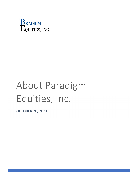

# About Paradigm Equities, Inc.

OCTOBER 28, 2021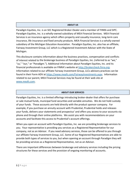## **ABOUT US**

Paradigm Equities, Inc. is an SEC Registered Broker‐Dealer and a member of FINRA and SIPC. Paradigm Equities, Inc. is a wholly‐owned subsidiary of MEA Financial Services. MEA Financial Services is an insurance agency which offers property and casualty insurance, long‐term care insurance, life insurance and fixed annuity products. MEA Financial Services is a wholly‐owned subsidiary of the Michigan Education Association. Paradigm Equities, Inc. also has an affiliate, Fairway Investment Group, LLC which is a Registered Investment Advisor with the State of Michigan.

This disclosure contains information about the business practices, compensation and conflicts of interest related to the brokerage business of Paradigm Equities, Inc. (referred to as "we," "us," "our," or "Paradigm."). Additional information about Paradigm Equities, Inc. and its financial professionals is available on FINRA's website at http://brokercheck.finra.org. Information related to our affiliate Fairway Investment Group, LLCs advisory practices can be found in their Form ADV at https://www.meafs.com/FairwayInvestments.aspx. Information related to our parent, MEA Financial Services may be found at their web site at www.meafs.com.

## **ABOUT OUR SERVICES**

Paradigm Equities, Inc. is a limited offerings introducing broker‐dealer that offers for purchase or sale mutual funds, municipal fund securities and variable annuities. We do not hold custody of your funds. These accounts are held directly with the product sponsor company. For example, if you purchase an annuity account with Prudential, Prudential holds and releases your funds, delivers your statements and prospectus' and offers you access to your accounts via phone and through their online platforms. We assist you with recommendations on your accounts and facilitate this access to Prudential's account offerings.

When you open an account with Paradigm Equities, Inc. we are providing brokerage services to you. Your representative is providing you services as a Registered Representative for our company, not as an Advisor. If you need advisory services, those can be offered to you through our affiliate Fairway Investment Group, LLC. Some of our Registered Representatives are able to provide both types of services to you, but when opening an account through Paradigm they will be providing services as a Registered Representative, not as an Advisor.

There are important differences between brokerage and advisory services including the pricing structures for these services and the provision of ongoing monitoring of accounts.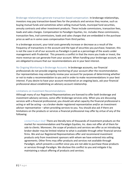Brokerage relationships generate transaction-based compensation. In brokerage relationships, investors may pay transaction‐based fees for the products and services they receive, such as buying mutual funds and sometimes when selling mutual funds, municipal fund securities, annuity contracts and other investment products. These include commissions, transaction fees, loads and sales charges. Compensation to Paradigm Equities, Inc. includes these commissions, transaction fees, trail commissions, loads and sales charges that are embedded in the purchase price as well as in some cases compensation from third parties.

In a brokerage account, your total costs generally increase or decrease as a result of the frequency of transactions in the account and the type of securities you purchase; however, this is not the case in all of our accounts as Paradigm is paid as a percentage of the assets under management with Prudential. This presents a conflict in that the more you trade or invest, the more revenue we can generate from your account. When handling your brokerage account, we are obligated to ensure that our recommendations are in your best interest.

No Ongoing Monitoring in Brokerage Accounts: In brokerage accounts, our financial professionals do not provide ongoing monitoring of your account after the recommendation. Our representatives may voluntarily review your account for purposes of determining whether or not to make a recommendation to you and in order to make recommendations in your best interest. If you desire to have your account monitored on an ongoing basis, ask your financial professional about establishing an advisory account relationship.

## Limitations on Investment Recommendations

Although many of our Registered Representatives are licensed to offer both brokerage and investment advisory services, some offer brokerage services only. When you are discussing services with a financial professional, you should ask what capacity the financial professional is acting or will be acting – as a broker-dealer registered representative and/or an investment advisor representative – when providing services to you. You should also ask if there are limitations on the products or services a financial professional may offer by virtue of any of the following:

*Limited Product Shelf:* There are literally tens of thousands of investment products on the market for recommendation and Paradigm Equities, Inc. does not offer all of them for sale to clients. Moreover, the scope of products and services we offer as an introducing broker‐dealer may be limited relative to what is available through other financial service firms. We and our Registered Representatives offer and recommend investment products only from investment sponsors with whom we have entered into selling agreements. Other firms may offer products and services not available through Paradigm, which presents a conflict since you are not able to purchase those products or services through Paradigm. We disclose this conflict to you and mitigate it by maintaining a robust offering of products and services.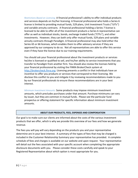*Restrictions Based on Licensing:* A financial professional's ability to offer individual products and services depends on his/her licensing. A financial professional who holds a Series 6 license is limited to providing mutual funds, 529 plans, Unit Investment Trusts ("UITs") and variable annuity contracts. A financial professional holding a Series 7 license is licensed to be able to offer all of the investment products a Series 6 representative can offer as well as individual stocks, bonds, exchange traded funds ("ETFs"), and other investments. However, they can both only offer mutual funds, 529 plans and variable annuity contracts through Paradigm. A financial professional may also hold either the Series 65 or 66 licenses, which enables them to offer advisory services if they are approved by our company to do so. Not all representatives are able to offer this service even if they have the license due to our training requirements.

You should ask your financial professional about the investment products or services he/she is licensed or qualified to sell, and his/her ability to service investments that you transfer to Paradigm from another firm. You should also review the licenses held by your financial professional by visiting the FINRA BrokerCheck system at http://brokercheck.finra.org. Licensing presents a conflict in that individuals have an incentive to offer you products or services that correspond to their licensing. We disclose this conflict to you and mitigate it by reviewing recommendations made to you by our financial professionals to ensure these recommendations are in your best interest.

*Minimum Investment Amounts:* Some products may impose minimum investment amounts, which precludes purchases under that amount. Purchase minimums can vary by issuer, but they are common in mutual funds. Please see the particular fund prospectus or offering statement for specific information about minimum investment amounts.

# **ABOUT OUR PRODUCTS, FEES, EXPENSES AND COMPENSATION**

Our goal is to make sure our clients are informed about the costs of the various investment products that we offer, which is why we provide this overview of our fees and how we generate revenue.

The fees you will pay will vary depending on the products you and your representative determine are in your best interest. A summary of the types of fees that may be charged is included in the Customer Relationship Summary your representative has provided. A complete schedule of fees and charges is available on our website and upon request. Your representative will detail out the fees associated with your specific account when completing the appropriate disclosure documents with you. Please consider these costs carefully and speak to your Registered Representative about which option is most appropriate for you.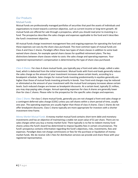## Our Products

#### Mutual Funds

Mutual funds are professionally managed portfolios of securities that pool the assets of individuals and organizations to invest toward a common objective, such as current income or long‐term growth. All mutual funds are offered for sale through a prospectus, which you should read prior to investing in a fund. The prospectus describes the sales charges and expenses applicable to the fund and it describes the fund's investment objective.

All mutual funds charge investment management fees and ongoing expenses for operating the fund and these expenses can vary by the share class purchased. The most common types of mutual funds are Class A and Class C shares. Paradigm offers these two types of share classes in addition to some load‐ waived share classes, for example special share classes for qualified retirement plans. The key distinctions between share classes relate to costs: the sales charge and operating expenses. Your registered representative's compensation is determined by the type of share class purchased.

*Class A Shares:* For class A share mutual funds, you typically pay a front‐end sales charge, called a sales load, which is deducted from the initial investment. Mutual funds with front-end loads generally reduce the sales charge as the amount of your investment increases above certain levels, according to a breakpoint schedule. Sales charges for mutual funds investing predominantly in equities generally are higher than those of mutual funds investing primarily in bonds. Your front-end charges may be reduced or eliminated as the amount of your investment with the mutual fund company increases above certain levels. Such reduced charges are known as breakpoint discounts. At a certain level, typically \$1 million, you may stop paying sales charges. Annual operating expenses for class A shares are generally lower than for class C shares. Please refer to the prospectus for the specific sales charges and expenses.

*Class C Shares:* For class C share mutual funds, generally you are not charged a front‐end sales charge or a contingent deferred sales charge (CDSC) unless you sell shares within a short period of time, usually one year. The operating expenses are usually higher than those of class A shares. Class C shares do not offer breakpoint discounts. Class C shares typically are more appropriate for investors with a shorter investment time frame.

*Money Market Mutual Funds:* A money market mutual fund contains short term debt and monetary investments and has an objective of maintaining a stable net asset value of \$1 per share. There are no sales charges when you buy a money market fund. There typically is no fee to redeem money fund shares unless the fund's board has determined to impose liquidity fees in certain circumstances. The fund's prospectus contains information regarding the fund's objectives, risks, investments, fees and expenses. Paradigm does not charge commissions or fees for the purchase or liquidation of money market funds. We do receive 12b‐1 fees for distribution services we provide and share these with your registered representative.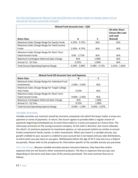Our Fees and Expenses for Mutual Funds and 529s (Fees are always subject to change, please visit our *web‐site for the most current fee schedule)*

| <b>Mutual Fund Accounts (non - 529)</b>     |                   |                   |                                                                          |  |  |  |  |
|---------------------------------------------|-------------------|-------------------|--------------------------------------------------------------------------|--|--|--|--|
| <b>Share Class</b>                          | A                 | C                 | <b>All other Share</b><br><b>Classes (No Load</b><br>and Load<br>Waived) |  |  |  |  |
| Maximum Sales Charge Range for Equity Funds | $4.25\% - 5.75\%$ | N/A               | N/A                                                                      |  |  |  |  |
| Maximum Sales Charge Range for Fixed Income |                   |                   |                                                                          |  |  |  |  |
| <b>Funds</b>                                | $2.50\% - 4.75\%$ | N/A               | N/A                                                                      |  |  |  |  |
| Maximum Sales Charge Range for Short Term   |                   |                   |                                                                          |  |  |  |  |
| <b>Fixed Income Funds</b>                   | $0.00 - 2.75%$    | N/A               | N/A                                                                      |  |  |  |  |
| Maximum Contingent Deferred Sales Charge    | N/A               | 1.00%             | N/A                                                                      |  |  |  |  |
| Annual 12 - b1 Fees                         | 0.25%             | 1.00%             | N/A                                                                      |  |  |  |  |
| <b>Total Annual Operating Expense Range</b> | $0.20\% - 3.08\%$ | $0.38\% - 3.72\%$ | $0.25\% - 1.83\%$                                                        |  |  |  |  |

| <b>Mutual Fund 529 Accounts Fees and Expenses</b> |                   |                   |  |  |  |  |
|---------------------------------------------------|-------------------|-------------------|--|--|--|--|
| <b>Share Class</b>                                | А                 |                   |  |  |  |  |
| Maximum Sales Charge Range for Individual Fund    |                   |                   |  |  |  |  |
| Investments                                       | $2.50\% - 3.50\%$ | N/A               |  |  |  |  |
| Maximum Sales Charge Range for Target College     |                   |                   |  |  |  |  |
| Year Funds                                        | 4.25%             | N/A               |  |  |  |  |
| Maximum Sales Charge Range for Short Term         |                   |                   |  |  |  |  |
| <b>Fixed Income Funds</b>                         | $0.00\% - 2.50\%$ | N/A               |  |  |  |  |
| Maximum Contingent Deferred Sales Charge          | N/A               | 1.00%             |  |  |  |  |
| Annual 12 - b1 Fees                               | 0.25%             | 1.00%             |  |  |  |  |
| <b>Total Annual Operating Expense Range</b>       | $0.44\% - 1.29\%$ | $0.44\% - 2.07\%$ |  |  |  |  |

# Variable Annuities

Variable annuities are contracts issued by insurance companies into which the buyer makes a lump‐sum payment or series of payments. In return, the insurer agrees to provide either a regular stream of payments beginning immediately (or at some future date) or a lump sum payout at a future time. The client pays premiums to the issuing insurance company. At the client's direction, the insurer allocates the client's 12 premium payments to investment options, or sub‐accounts (which are similar to mutual funds) comprised of stocks, bonds, or other investments. When you invest in a variable annuity, any growth credited to your account is credited to your account but is not taxed until you take distributions, at which point you pay taxes on any gains. Withdrawals before the age of 59 ½ may also incur a federal tax penalty. Please refer to the prospectus for information specific to the variable annuity you purchase.

*Fees and charges:* Because variable annuities possess insurance features, they have fees and/or expenses that are not found in other investment products. The fees or expenses that you pay vary depending on the terms and share class of the annuity purchased. The most common fees are as follows: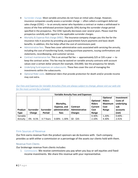- Surrender charge. Most variable annuities do not have an initial sales charge. However, insurance companies usually assess a surrender charge — often called a contingent deferred sales charge (CDSC) — to an annuity owner who liquidates a contract or makes a withdrawal in excess of the free withdrawal provision (typically 10%) during the surrender charge period specified in the prospectus. The CDSC typically decreases over several years. Please read the prospectus carefully with regard to the applicable surrender charges.
- **Mortality & Expense Risk charge (M&E). The insurance company charges you this fee for the** insurance risks it assumes by providing you guaranteed1 future payments and basic death benefits. In addition, this fee helps offset the cost of commissions paid.
- Administrative fees. These fees cover administrative costs associated with servicing the annuity, including the cost of transferring funds, tracking purchase payments, issuing confirmations and statements, recordkeeping, and customer service.
- Contract maintenance fee. This is an annual flat fee  $-$  approximately \$25 or \$35 a year  $-$  to keep the contract active. This fee may be waived on variable annuity contracts with account values over a certain dollar amount (for example, \$50,000). See the prospectus for details.
- Underlying fund expenses on subaccounts. These fees cover the cost of managing the investments within the subaccounts.
- Optional Rider costs. Additional riders that provide protection for death and/or provide income may cost extra.

| <b>Variable Annuity Fees and Expenses</b> |               |                  |                   |                 |               |                |                 |  |  |
|-------------------------------------------|---------------|------------------|-------------------|-----------------|---------------|----------------|-----------------|--|--|
|                                           |               |                  |                   |                 |               | Optional       | Investment      |  |  |
|                                           |               |                  |                   |                 | Optional      | <b>Riders</b>  | <b>Costs of</b> |  |  |
|                                           |               |                  | Mortality,        |                 | <b>Riders</b> | <b>Maximum</b> | underlying      |  |  |
|                                           |               |                  | Expense, and      | <b>Contract</b> | Current       | Cost           | sub             |  |  |
| Product                                   | Surrender     | <b>Surrender</b> | administrative    | Administrative  | Cost          | Range          | accounts        |  |  |
| <b>Type</b>                               | Charge        | <b>Period</b>    | fees              | <b>Charges</b>  | Range         |                | (net)           |  |  |
| Variable                                  |               |                  |                   |                 | $0.30% -$     | $1.20% -$      | $0.00\%$ -      |  |  |
| Annuity                                   | $0\% - 8.5\%$ | 3-7 Years        | $0.00\% - 1.30\%$ | $$0 - $35$      | 2.10%         | 4.30%          | 2.41%           |  |  |

## Our Fees and Expenses for Variable Annuities (Fees are always subject to change, please visit our web-site *for the most current fee schedule)*

# Firm Sources of Revenue

Our firm earns revenue from the product sponsors we do business with. Each company provides us with either a commission or a percentage of the assets our clients hold with them.

# Revenue from Clients

Our brokerage revenue from clients includes:

1. *Commissions:* We receive commissions you pay when you buy or sell equities and fixed‐ income investments. We share this revenue with your representative.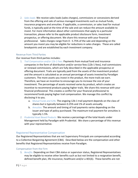2. *Sales loads:* We receive sales loads (sales charges), commissions or concessions derived from the offering and sale of various managed investments such as mutual funds, insurance programs and annuities. If applicable, a commission, or sales load for mutual funds, is typically paid at the time of the sale and can reduce the amount available to invest. For more information about other commissions that apply to a particular transaction, please refer to the applicable product disclosure form, investment prospectus, or offering document. We share this revenue with your financial professional. Sales charges range from 0 ‐ 5.75% of the sale and depending on the amount you invest you may be eligible for reductions in sales charges. These are called breakpoints and are established by each investment company.

# Revenue from Third Parties

Our revenue from third parties includes:

- 1. *Trail Compensation and/or 12b‐1 Fees:* Payments from mutual fund and insurance companies in the form of distribution and/or service fees (12b-1 fees), trail commissions or renewal commissions, which are fully described in the applicable prospectus or offering document. Trails are typically paid from the assets of the investment product and the amount is calculated as an annual percentage of assets invested by Paradigm customers. The more assets you invest in the product, the more trails we earn. Therefore, we have an incentive to encourage you to increase the size of your investment. The percentage of assets received varies by product, which creates an incentive to recommend products paying higher trails. We share this revenue with your financial professional. This creates a conflict for your financial professional to recommend funds paying higher trail compensation. We manage this conflict by disclosing it to you.
	- a. *Mutual Funds and 529s:* The ongoing 12b‐1 trail payment depends on the class of shares but is typically between 0.25% and 1% of assets annually.
	- b. *Annuities:* The amount and timing of trail payments varies depending on the issuer and type of policy purchased. The maximum trail payment for annuities is typically 1.5%.
- 2. *Prudential Asset Based Products:* We receive a percentage of the total Assets under Management held by Paradigm with Prudential. We share a percentage of this revenue with your representative.

# Registered Representative Compensation

Our Registered Representatives that are not Supervisory Principals are compensated according to a Collective Bargaining Agreement (CBA). Described below are the compensation and other benefits that Registered Representatives receive from Paradigm.

## Compensation from the Firm

1. *Benefits:* Depending on their CBA status or supervisor status, Registered Representatives may be eligible to receive other benefits such as but not limited to a resignation benefit, defined benefit plan, life insurance, healthcare and/or a 401(k). These benefits are not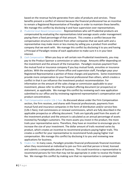based on the revenue he/she generates from sales of products and services. These benefits present a conflict of interest because the financial professional has an incentive to remain a Registered Representative of Paradigm in order to maintain these benefits. We manage this conflict by disclosing it and have supervision over representatives.

- 2. *Prudential Asset Based Compensation –* Representatives who sell Prudential products are compensated by evaluating the representatives total average assets under management paying them a fixed percentage of that amount. This creates a conflict because the compensation structure is different from other companies that we work with and a representative may make more or less money by selling you a product from another company that we work with. We manage this conflict by disclosing it to you and having a Principal of Paradigm review of each application to make sure it is in your best interest.
- 3. *Cash Compensation:* When you buy or sell certain non‐Prudential investments, you may pay to the Product Sponsor a commission or sales charge. Amounts differ depending on the investment and the amount of the transaction. Paradigm receives payment from the mutual fund or insurance company if you buy mutual funds, annuities or insurance policies. With the exception of home office and supervision staff, Paradigm pays your Registered Representative a portion of these charges and payments. Some investments provide more compensation to your financial professional than others, which creates a conflict in that it can influence the investment product recommendation. For information on the amount of the sales charge or commission applicable to your investment, please refer to either the product offering document (or prospectus) or statement, as applicable. We manage this conflict by reviewing each new application submitted to our office and by reviewing registered representative's compensation and product concentrations.
- 4. *Trail Compensation and/or 12b‐1 Fees:* As discussed above under the Firm Compensation section, the firm receives, and shares with financial professionals, payments from mutual fund and insurance companies in the form of distribution and/or service fees (12b‐1 fees), trail commissions or renewal commissions, which are fully described in the applicable prospectus or offering document. Trails are typically paid from the assets of the investment product and the amount is calculated as an annual percentage of assets invested by Paradigm customers. The more assets you invest in the product, the more trails your representative earns. Therefore, they have an incentive to encourage you to increase the size of your investment. The dollar amount of trails received varies by product, which creates an incentive to recommend products paying higher trails. This creates a conflict for your representative to recommend funds paying higher trail compensation. We manage this conflict by disclosing it to you and reviewing new applications for business.
- 5. *Finders Fee:* In many cases, Paradigm provides financial professionals financial incentives when they recommend an individual to join our firm and that person is hired, licensed and submits a compensable piece of business. This could incentivize a representative to recommend persons for hire that may not be appropriate in order to receive the finders fee. We manage this conflict by making sure that no representative is compensated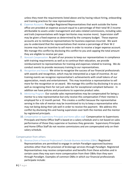unless they meet the requirements listed above and by having robust hiring, onboarding and training practices for new representatives.

- *6. Expense Accounts:* Paradigm Registered Representatives that work outside the home office are provided an expense account equal to a percentage of their total W‐2 income attributable to assets under management and sales‐related commissions, including sales and trails (representatives with larger territories may receive more). Supervision staff may be given a fixed expense as determined by the company budget. These expense accounts are to reimburse representatives for business expenses incurred. We want you to understand that the representatives that receive a percentage of their W‐2 income may have an incentive to sell more in order to receive a larger expense account. We manage this conflict by disclosing this conflict to you and capping the total amount they are eligible to receive per year.
- 7. *Noncash Compensation:* As part of our process to keep our representatives in compliance with training requirements as well as to continue their education, we provide reimbursement to representatives for training and expenses related to training. We do conduct events to provide necessary training to our representatives.
- 8. *Recognition and Awards:* We strive to recognize the success of our financial professionals with awards and recognition, which may be interpreted as a type of incentive. At our training events we recognize representative's achievements with small tokens of our appreciation, meals and entertainment. This may incentivize a representative to sell more for the recognition or an award. We manage this conflict by disclosing it to you as well as recognizing them for not just sales but for exceptional compliant behavior. In addition we have policies and procedures to supervise product sales.
- 9. *Mentoring Program:* Our outside sales representatives may be compensated for being a mentor to a new representative but only receive this compensation if their mentee is employed for a 12 month period. This creates a conflict because the representative serving in the role of mentor may be incentivized to try to keep a representative who may not being doing their job well in order to receive the payment. We address this conflict by disclosing this and having supervision over both the mentee and the mentor by registered principals.
- 10. *Compensation to Supervisory Principals and Home office staff:* Compensation to Supervisory Principals and Home Office Staff is based on a salary schedule and is not based on sales performance of those they supervise or business they generate. Supervisory Principals and Home Office Staff do not receive commissions and are compensated only on their salary schedule.

## Compensation from others

1. *Revenue from a Financial Professional's Outside Business Activities (OBAs):* Registered Representatives are permitted to engage in certain Paradigm‐approved business activities other than the provision of brokerage services through Paradigm. Registered Representatives may receive compensation and benefits from these activities and in certain cases they may earn more compensation from their OBAs than they earn through Paradigm. Examples of common OBAs in which our financial professionals participate include: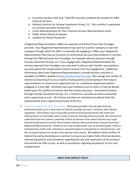- a. Insurance product sales (e.g., fixed life insurance, property & casualty) for MEA Financial Services
- b. Advisory Services for Fairway Investment Group, LLC. (this activity is supervised as a private securities transaction)
- c. Union Representatives for their Financial Services Representative Union
- d. Public School District Employee
- e. Landlord for Rental Properties

A Registered Representative's OBAs are separate and distinct from their Paradigm activities. Your Registered Representative may work for another company or own the company through which the OBA is conducted. By engaging in OBAs, your Registered Representative may have an incentive to recommend you purchase products or services through the OBA and away from Paradigm, for example advisory business through Fairway Investment Group, LLC. If you engage with a Registered Representative for services separate from Paradigm, you may wish to discuss with him/her any questions you have about the compensation he/she receives from the engagement. Additional information about your Registered Representative's outside business activities is available on FINRA's website at http://brokercheck.finra.org. We manage this conflict of interest by disclosing it to you as well as having policies and procedures that require representatives to receive prior approval from our compliance department before engaging in a new OBA. Activities may have limitations put on them or may be denied based upon the conflicts of interest that the activity may pose. Investment business through Fairway Investment Group, LLC. is treated as a private securities transaction and is supervised as such. All of these activities are reviewed annually by both the representative and a registered principal of the firm.

2. *Noncash compensation from third parties:* Third‐party providers may also give financial professionals gifts up to a total value of \$100 per provider per year, consistent with industry regulations. Third parties may occasionally provide financial professionals with meals and entertainment of reasonable value or help to sponsor trainings that we provide. We want you to understand that this creates a potential conflict of interest to the extent that this may cause financial professionals to prefer those Product Partners that provide these noncash incentives. Registered Representatives' receipt of non‐cash compensation such as occasional gifts, meals or entertainment and/or their attendance and participation in educational or training forums, and the increased exposure to vendors who sponsor these events. We address these conflicts of interest by and by disclosing our practices to ensure you make a fully informed decision, maintaining policies and procedures regarding the sale and supervision of the products and services we offer to you, as well as procedures regarding acceptance of non‐cash compensation.

#### **ABOUT OUR CONFLICT POLICY**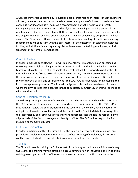A Conflict of Interest as defined by Regulation Best Interest means an interest that might incline a broker, dealer or a natural person who is an associated person of a broker or dealer – either consciously or unconsciously – to make a recommendation that is not in your interest. Paradigm Equities, Inc. is committed to identifying and managing or avoiding potential conflicts of interest in its business. In dealing with these potential conflicts, we require integrity and the use of good judgment and discretion exercised in a manner expected by our policies, and our values. The Firm values ethical treatment of customers, fair handling of conflicts and making recommendations consistent with the best interest of the customer. In selecting employees for hire, ethical, financial and regulatory history is reviewed. In training employees, ethical treatment of customers is emphasized.

# Conflicts Review

In order to manage conflicts, the Firm will take inventory of its conflicts on an on‐going basis reviewing them in light of changes to the business. In addition, the firm maintains a Conflict Matrix which contains a list of all conflicts of interest that will be reviewed as part of the CCOs internal audit of the firm to assess if changes are necessary. Conflicts are considered as part of the new product review process, the review/approval of outside business activities and review/approval of gifts and entertainment. The COO/POO is responsible for maintaining the list of firm approved products. The firm will mitigate conflicts where possible and in cases where the Firm decides that a conflict cannot be successfully mitigated, efforts will be made to eliminate the conflict.

# Conflict Escalation Procedure

Should a registered person identify a conflict that may be important, it should be reported to the CCO or President immediately. Upon reporting of a conflict of interest, the CCO and/or President will review the conflict, determine the severity of the conflict, decide whether to mitigate or eliminate the conflict and add the conflict to the Conflict Matrix if necessary. It is the responsibility of all employees to identify and report conflicts and it is the responsibility of all principals of the firm to manage and identify conflicts. The CCO will be responsible for maintaining the Conflict Matrix.

# Mitigation of Conflicts

In order to mitigate conflicts the firm will use the following methods: design of policies and procedures, implementation of monitoring of conflicts, training of employees, disclosure of conflicts and risks to clients and attestations of understanding from clients.

# **Training**

The Firm will provide training on Ethics as part of continuing education at a minimum of every two years. This training may be offered in a group setting or on an individual basis. In addition, training to recognize conflicts of interest and the expectations of the Firm relative to the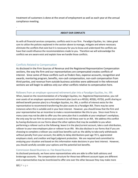treatment of customers is done at the onset of employment as well as each year at the annual compliance meeting.

## **ABOUT OUR CONFLICTS**

As with all financial services companies, conflicts exist in our firm. Paradigm Equities, Inc. takes great care to utilize the policies explained in the section above to manage, mitigate and where necessary eliminate the conflicts that exist but it is necessary for you to know and understand the conflicts we have that could influence the recommendations made to you. Therefore we will acknowledge the conflicts we are aware exist and explain how we handle those conflicts.

# Conflicts Related to Compensation

.

As disclosed in the Firm Sources of Revenue and the Registered Representative Compensation sections, the way the firm and our representatives are compensated creates conflicts of interest. Since some of these conflicts such as finders fees, expense accounts, recognition and awards, mentoring program, benefits, non‐cash compensation, non‐cash compensation from third‐parties, and revenue from outside business activities were addressed in the referenced sections we will begin to address only our other conflicts relative to compensation here.

# Rollovers from an employer‐sponsored retirement plan into a Paradigm Equities, Inc. IRA

When, based on the recommendation of a Paradigm Equities, Inc. Registered Representative, you roll over assets of an employer‐sponsored retirement plan (such as a 401(k), 403(b), 457(b), profit sharing or defined benefit pension plan) to a Paradigm Equities, Inc. IRA, a conflict of interest exists for the representative to recommend transferring the plan assets to a Paradigm IRA. There may be some instances when this is suitable and in your best interest. However, you should know that the firm and your representative has an incentive to make a recommendation like this to you. Since most firms in many cases may not be able to offer you the same plan that is available at your employer's workplace, the only way for our firm to service your assets is to roll these over to an IRA. We address this conflict by having disclosures on our forms about the other options that may be available to you when performing a rollover such as the following: leave it in the plan/current account, take a cash distribution, rollover to your new employers plan or rollover to an IRA. We also disclose in our forms that if you are choosing to complete a rollover you could lose benefits such as: the ability to take early withdrawals without penalty from your account, the ability to delay distributions past age 70  $\frac{1}{2}$ , appreciated employers stock, and creditor and legal judgment protection. We are required and committed to analyzing your situation and based on this information make decisions in your best interest. However, you should carefully consider your options and the potential lost benefits.

## Commission Based Business vs. Fee Based Business

As disclosed previously, we have some representatives who are able to offer both advisory and brokerage accounts. The compensation structure for these two different account types are different and a representative may be incentivized to offer one over the other because they may make more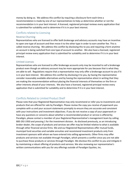money by doing so. We address this conflict by requiring a disclosure form each time a recommendation is made by one of our representatives to help us determine whether or not the recommendation is in your best interest. A licensed, registered principal reviews every application that is submitted for suitability and to determine if it is in your best interest.

## Conflicts related to Licensing

#### Reverse Churning

Representatives who are licensed to offer both brokerage and advisory accounts may have an incentive to open one type of account and then move it to the other type in order to earn another fee. This is called reverse churning. We address this conflict by disclosing this to you and requiring a form anytime an account is being switched from one type of account to another. We also have a licensed, registered principal review every application that is submitted for suitability and to determine if it is in your best interest.

#### Limited Licenses

Representatives who are licensed to offer brokerage accounts only may be incented to sell a brokerage product even though an advisory account may be more appropriate for you because that is what they are able to sell. Regulations require that a representative may only offer a brokerage account to you if it is in your best interest. We address this conflict by disclosing it to you, by having the representative consider reasonably available alternatives and by having the representative attest in writing that they are making the recommendation without placing the financial interests of themselves or the firm or other interests ahead of your interests. We also have a licensed, registered principal review every application that is submitted for suitability and to determine if it is in your best interest.

# Conflicts Related to Limited Product Shelf

Please note that your Registered Representative may only recommend or refer you to investments and products that are offered for sale by Paradigm. Please review the copy you receive of paperwork you complete with us and your account statements promptly to ensure they are accurate and consistent with your instructions and investment objectives. If you do not receive a copy of your paperwork or have any questions or concerns about whether a recommended product or service is offered by Paradigm, please contact a member of your Registered Representative's management team by calling 800-292-1950 and pressing 1 for the investment division. As disclosed previously, as an introducing broker‐dealer, the scope of products and services we offer may be limited relative to what is available through other financial service firms. We and our Registered Representatives offer mutual funds, municipal fund securities and variable annuities and recommend investment products only from investment sponsors with whom we have entered into selling agreements. Other firms may offer products and services not available through Paradigm, which presents a conflict since you are not able to purchase those products or services through Paradigm. We disclose this conflict to you and mitigate it by maintaining a robust offering of products and services. We also reviewing our representative's written communications with you for any offerings outside of Paradigm Equities, Inc.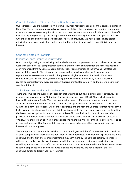# Conflicts Related to Minimum Production Requirements

Our representatives are subject to a minimum production requirement on an annual basis as outlined in their CBA. These requirements could cause a representative who is at risk of not meeting requirements to attempt to open accounts quickly in order to achieve the minimum standard. We address this conflict by disclosing it to you and by considering these requirements during the application approval process when the end of a qualification period is near. As stated previously, we have a licensed, registered principal review every application that is submitted for suitability and to determine if it is in your best interest.

# Conflicts Related to Products

## Product offerings through various vendors

Due to Paradigm being an introducing broker‐dealer we are compensated by the third‐party vendors we work with based on their compensation schedule, therefore the compensation the firm receives from each vendor is different. Some vendors provide higher compensation to the firm and therefore your representative as well. This difference in compensation, may incentivize the firm and/or your representative to recommend a vendor that provides a higher compensation level. We address this conflict by disclosing this to you, by monitoring product concentration and by having a licensed, registered principal review every application that is submitted for suitability and to determine if it is in your best interest.

## Similar Investment Options with Varied Cost

There are some options available at Paradigm that are similar but have a different cost structure. For example you may purchase a 403(b) A or C share direct as well as a 403(b) R Share which could be invested in in the same funds. The cost structure for these is different and whether or not you have access to both options depends on your school district's plan document. A 403(b) A or C share direct with the company in most cases will be more expensive and the firm and your representative will earn a higher commission, however if you are eligible for breakpoints there are some cases in which it could be the less expensive option. In order to address this conflict, we disclose it to you. In addition, the principals that review applications for suitability are aware of this conflict. An investment direct in a 403(b) A or C share is only allowed in those situations where the Principal of the firm determines it to be in your best interest. Our Representatives are also trained to be aware that a sale not in your best interest will not be approved.

There are products that are only available to school employees and therefore we offer similar products at other companies for those that are not school district employees. However, these products are more expensive and the firm and your representative may earn more by selling these options. In order to address this conflict, we disclose it to you. In addition, the principals that review applications for suitability are aware of this conflict. An investment in a product where there is a similar option exclusive to school employees would only be allowed in situations where you are not eligible for the less expensive option and it is in your best interest.